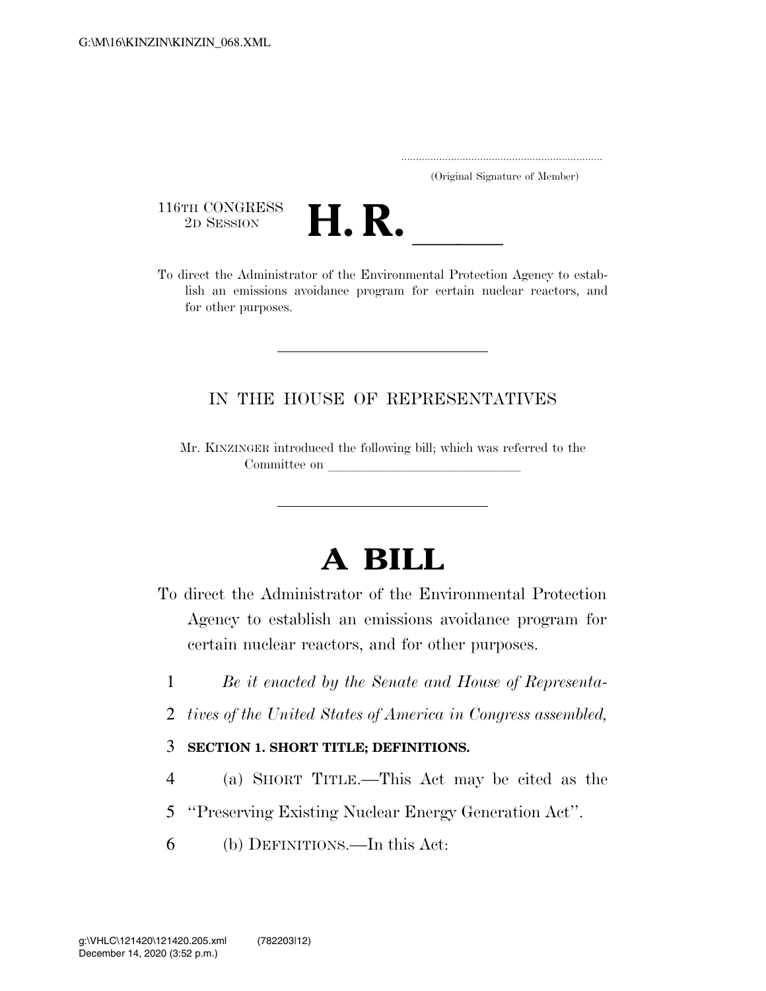..................................................................... (Original Signature of Member)

116TH CONGRESS<br>2D SESSION



116TH CONGRESS<br>
2D SESSION<br>
To direct the Administrator of the Environmental Protection Agency to establish an emissions avoidance program for certain nuclear reactors, and for other purposes.

## IN THE HOUSE OF REPRESENTATIVES

Mr. KINZINGER introduced the following bill; which was referred to the Committee on

## **A BILL**

- To direct the Administrator of the Environmental Protection Agency to establish an emissions avoidance program for certain nuclear reactors, and for other purposes.
	- 1 *Be it enacted by the Senate and House of Representa-*
	- 2 *tives of the United States of America in Congress assembled,*

## 3 **SECTION 1. SHORT TITLE; DEFINITIONS.**

- 4 (a) SHORT TITLE.—This Act may be cited as the
- 5 ''Preserving Existing Nuclear Energy Generation Act''.
- 6 (b) DEFINITIONS.—In this Act: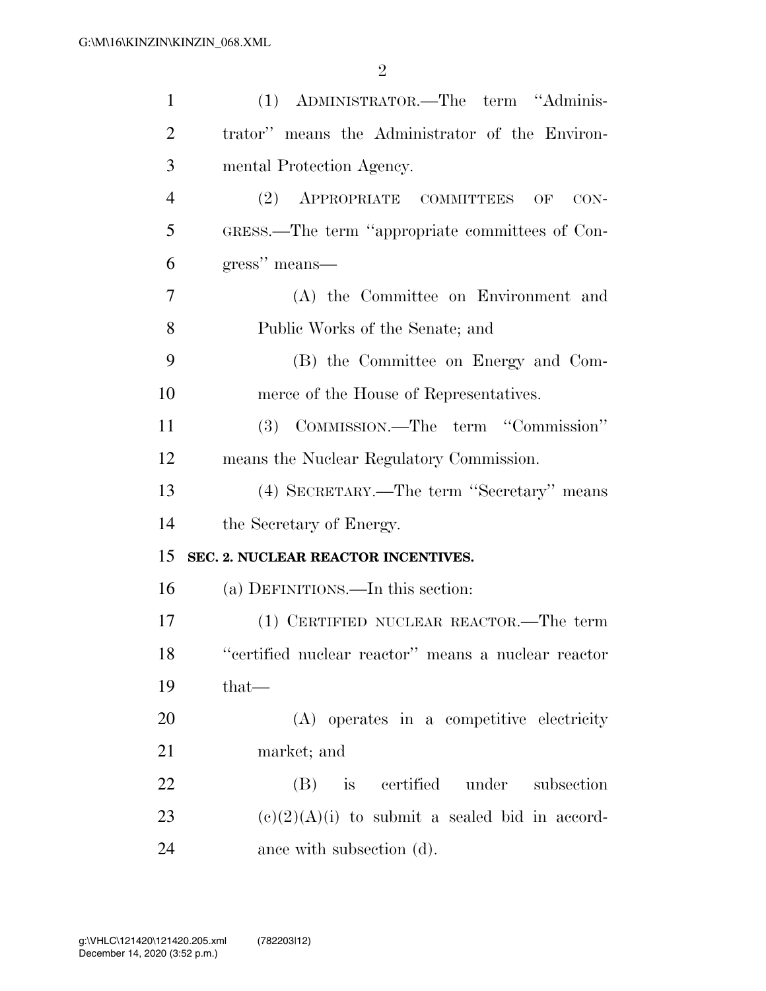| $\mathbf{1}$   | (1) ADMINISTRATOR.—The term "Adminis-               |
|----------------|-----------------------------------------------------|
| $\overline{2}$ | trator" means the Administrator of the Environ-     |
| 3              | mental Protection Agency.                           |
| $\overline{4}$ | (2) APPROPRIATE COMMITTEES<br>OF<br>$CON-$          |
| 5              | GRESS.—The term "appropriate committees of Con-     |
| 6              | gress" means—                                       |
| 7              | (A) the Committee on Environment and                |
| 8              | Public Works of the Senate; and                     |
| 9              | (B) the Committee on Energy and Com-                |
| 10             | merce of the House of Representatives.              |
| 11             | (3) COMMISSION.—The term "Commission"               |
| 12             | means the Nuclear Regulatory Commission.            |
| 13             | (4) SECRETARY.—The term "Secretary" means           |
| 14             | the Secretary of Energy.                            |
| 15             | SEC. 2. NUCLEAR REACTOR INCENTIVES.                 |
| 16             | (a) DEFINITIONS.—In this section:                   |
| 17             | (1) CERTIFIED NUCLEAR REACTOR.—The term             |
| 18             | "certified nuclear reactor" means a nuclear reactor |
| 19             | $that-$                                             |
| 20             | (A) operates in a competitive electricity           |
| 21             | market; and                                         |
|                |                                                     |
| 22             | (B) is certified under subsection                   |
| 23             | $(e)(2)(A)(i)$ to submit a sealed bid in accord-    |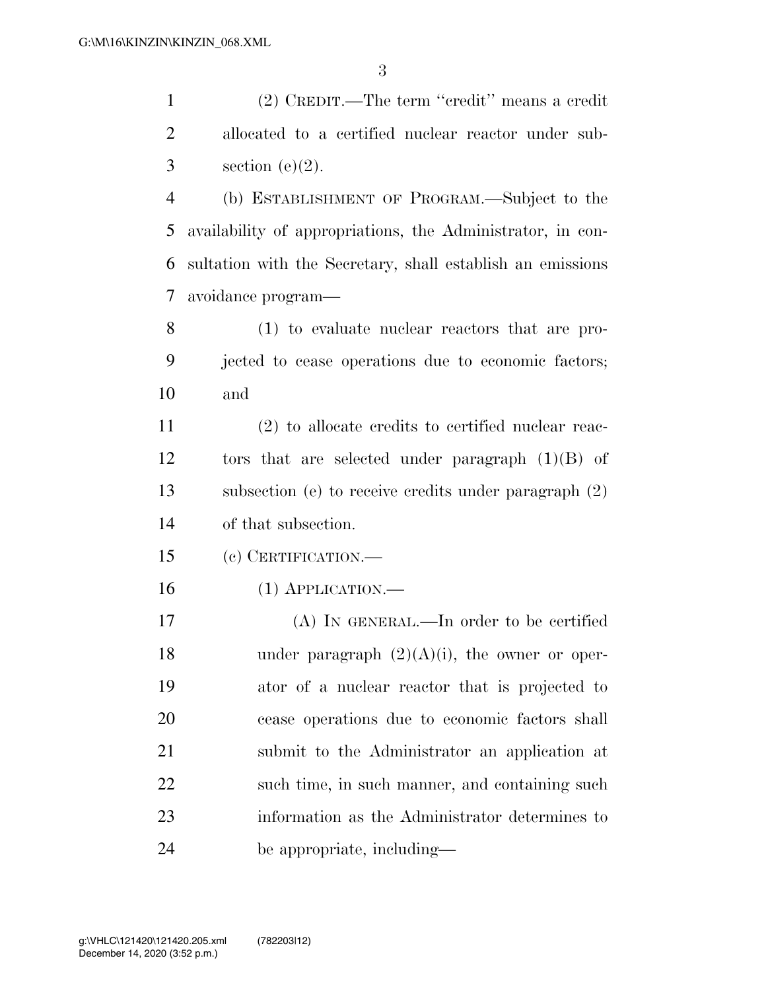(2) CREDIT.—The term ''credit'' means a credit allocated to a certified nuclear reactor under sub- $3 \qquad \text{section} \ (\text{e})(2).$ 

 (b) ESTABLISHMENT OF PROGRAM.—Subject to the availability of appropriations, the Administrator, in con- sultation with the Secretary, shall establish an emissions avoidance program—

 (1) to evaluate nuclear reactors that are pro- jected to cease operations due to economic factors; and

 (2) to allocate credits to certified nuclear reac- tors that are selected under paragraph (1)(B) of subsection (e) to receive credits under paragraph (2) of that subsection.

(c) CERTIFICATION.—

(1) APPLICATION.—

 (A) IN GENERAL.—In order to be certified 18 under paragraph  $(2)(A)(i)$ , the owner or oper- ator of a nuclear reactor that is projected to cease operations due to economic factors shall submit to the Administrator an application at 22 such time, in such manner, and containing such information as the Administrator determines to be appropriate, including—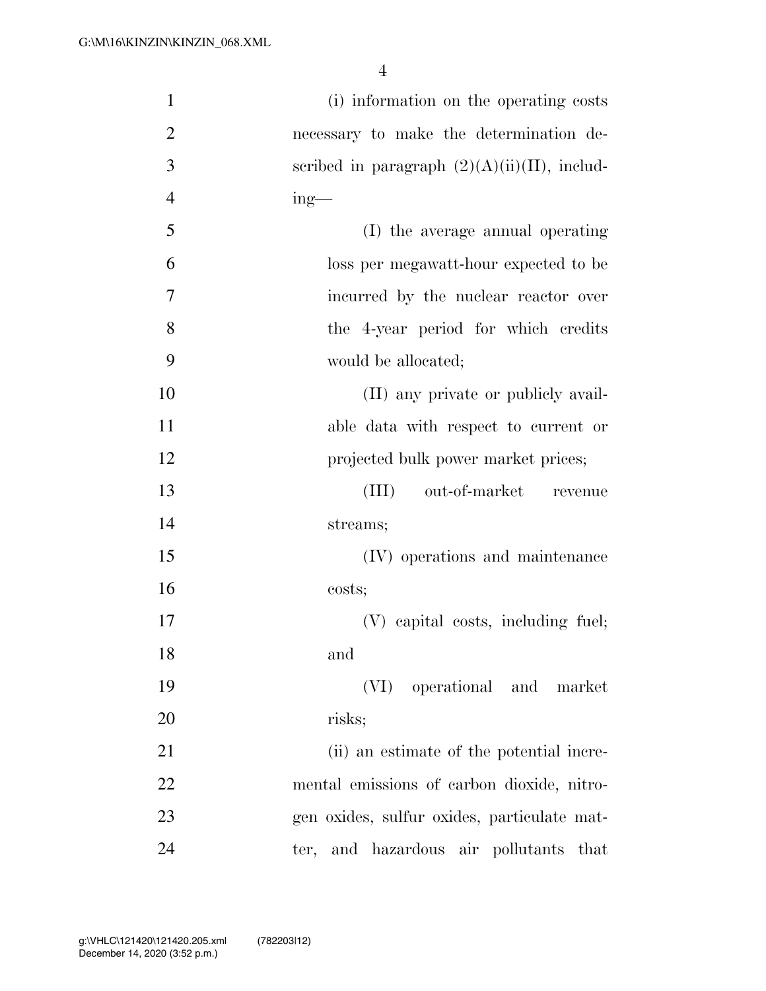| $\mathbf{1}$   | (i) information on the operating costs          |
|----------------|-------------------------------------------------|
| $\overline{2}$ | necessary to make the determination de-         |
| 3              | scribed in paragraph $(2)(A)(ii)(II)$ , includ- |
| $\overline{4}$ | $ing$ —                                         |
| 5              | (I) the average annual operating                |
| 6              | loss per megawatt-hour expected to be           |
| 7              | incurred by the nuclear reactor over            |
| 8              | the 4-year period for which credits             |
| 9              | would be allocated;                             |
| 10             | (II) any private or publicly avail-             |
| 11             | able data with respect to current or            |
| 12             | projected bulk power market prices;             |
| 13             | out-of-market revenue<br>(III)                  |
| 14             | streams;                                        |
| 15             | (IV) operations and maintenance                 |
| 16             | costs;                                          |
| 17             | (V) capital costs, including fuel;              |
| 18             | and                                             |
| 19             | (VI) operational and market                     |
| 20             | risks;                                          |
| 21             | (ii) an estimate of the potential incre-        |
| 22             | mental emissions of carbon dioxide, nitro-      |
| 23             | gen oxides, sulfur oxides, particulate mat-     |
| 24             | and hazardous air pollutants that<br>ter,       |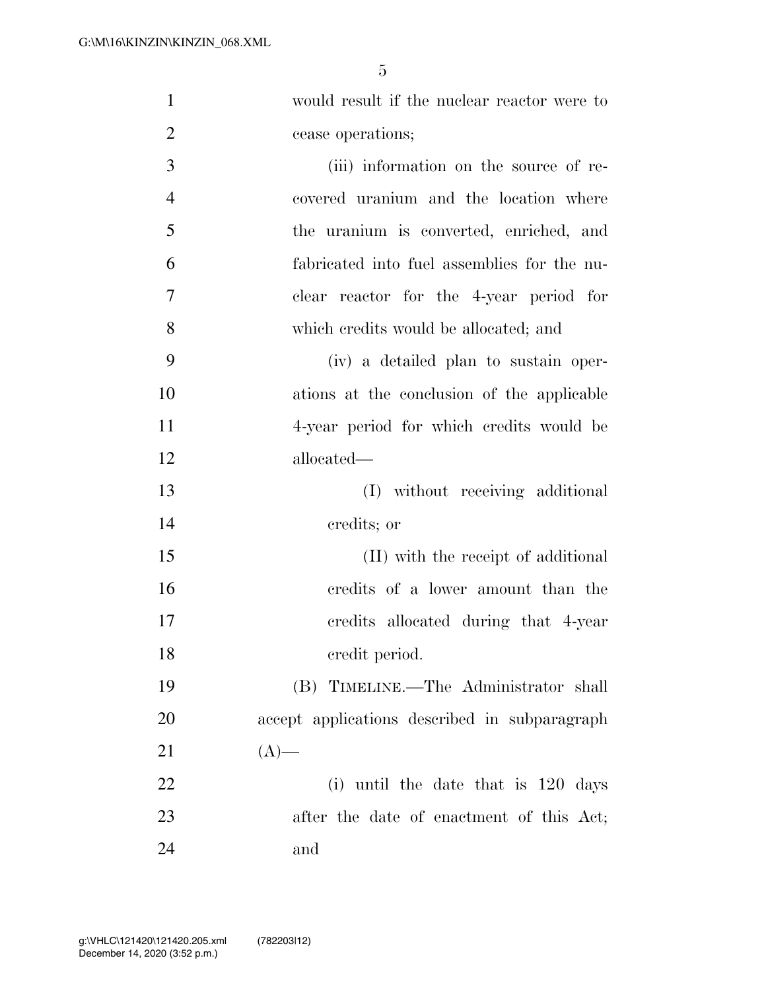| $\mathbf{1}$   | would result if the nuclear reactor were to   |
|----------------|-----------------------------------------------|
| $\overline{2}$ | cease operations;                             |
| 3              | (iii) information on the source of re-        |
| $\overline{4}$ | covered uranium and the location where        |
| 5              | the uranium is converted, enriched, and       |
| 6              | fabricated into fuel assemblies for the nu-   |
| 7              | clear reactor for the 4-year period for       |
| 8              | which credits would be allocated; and         |
| 9              | (iv) a detailed plan to sustain oper-         |
| 10             | ations at the conclusion of the applicable    |
| 11             | 4-year period for which credits would be      |
| 12             | allocated—                                    |
| 13             | (I) without receiving additional              |
| 14             | credits; or                                   |
| 15             | (II) with the receipt of additional           |
| 16             | credits of a lower amount than the            |
| 17             | credits allocated during that 4-year          |
| 18             | credit period.                                |
| 19             | (B) TIMELINE.—The Administrator shall         |
| 20             | accept applications described in subparagraph |
| 21             | $(A)$ —                                       |
| 22             | (i) until the date that is $120 \text{ days}$ |
| 23             | after the date of enactment of this Act;      |
| 24             | and                                           |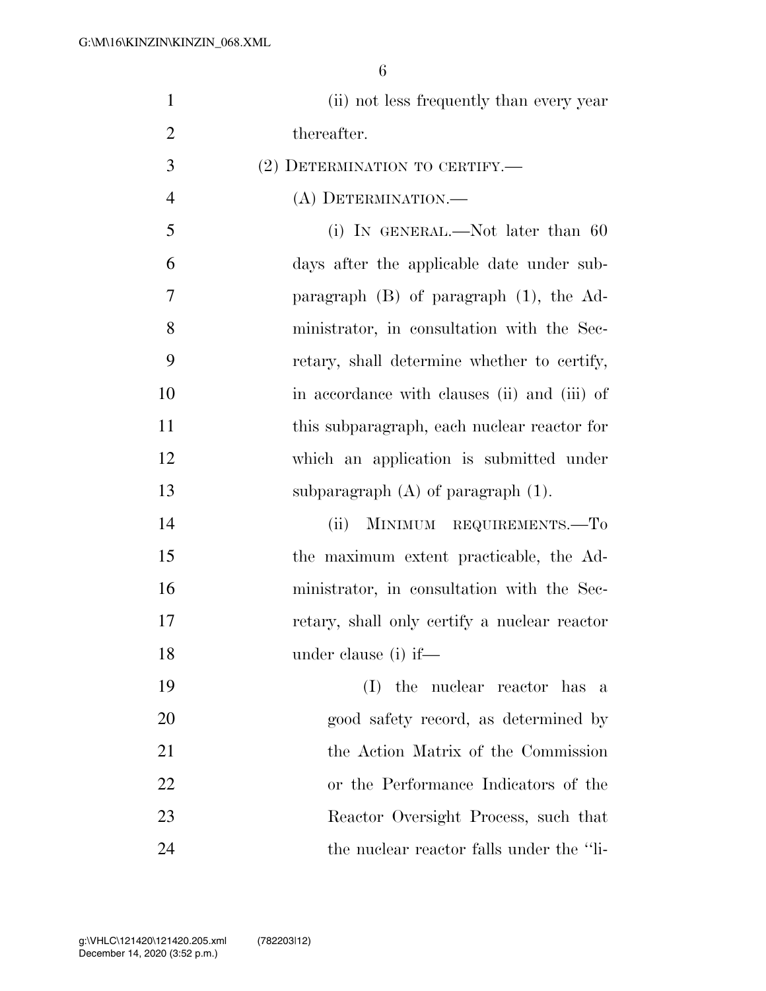| $\mathbf{1}$   | (ii) not less frequently than every year     |
|----------------|----------------------------------------------|
| $\overline{2}$ | thereafter.                                  |
| 3              | (2) DETERMINATION TO CERTIFY.—               |
| $\overline{4}$ | (A) DETERMINATION.—                          |
| 5              | (i) IN GENERAL.—Not later than 60            |
| 6              | days after the applicable date under sub-    |
| 7              | paragraph $(B)$ of paragraph $(1)$ , the Ad- |
| 8              | ministrator, in consultation with the Sec-   |
| 9              | retary, shall determine whether to certify,  |
| 10             | in accordance with clauses (ii) and (iii) of |
| 11             | this subparagraph, each nuclear reactor for  |
| 12             | which an application is submitted under      |
| 13             | subparagraph $(A)$ of paragraph $(1)$ .      |
| 14             | MINIMUM REQUIREMENTS.-To<br>(ii)             |
| 15             | the maximum extent practicable, the Ad-      |
| 16             | ministrator, in consultation with the Sec-   |
| 17             | retary, shall only certify a nuclear reactor |
| 18             | under clause (i) if—                         |
| 19             | (I) the nuclear reactor has a                |
| 20             | good safety record, as determined by         |
| 21             | the Action Matrix of the Commission          |
| 22             | or the Performance Indicators of the         |
| 23             | Reactor Oversight Process, such that         |
| 24             | the nuclear reactor falls under the "li-     |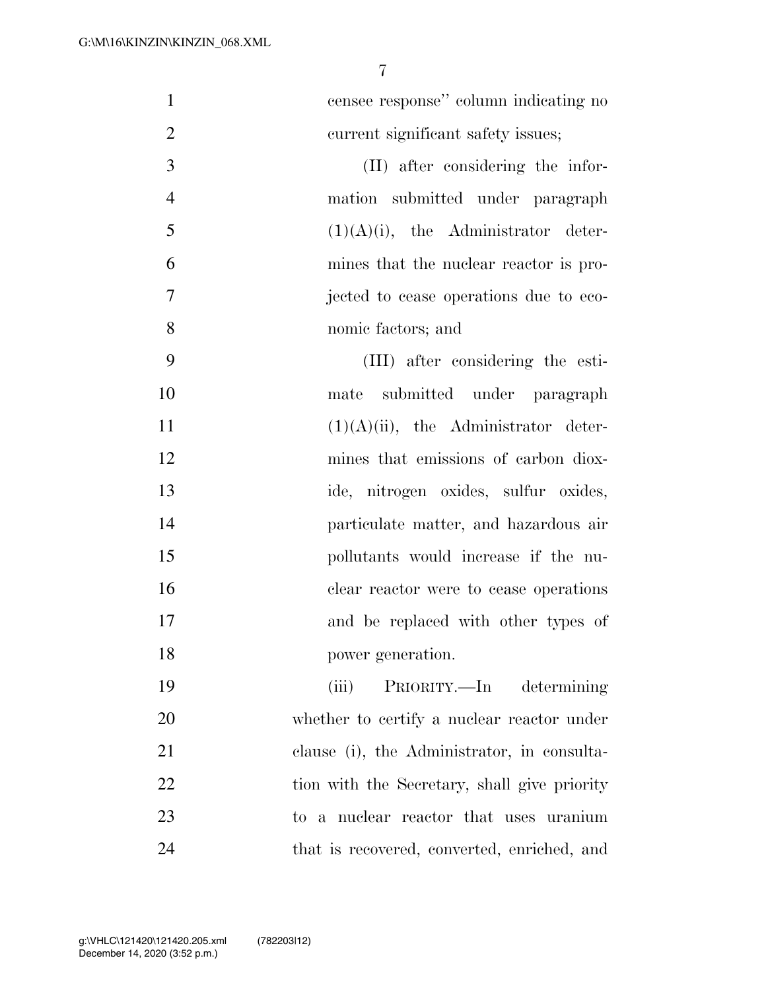| $\mathbf{1}$   | censee response" column indicating no        |
|----------------|----------------------------------------------|
| $\mathfrak{2}$ | current significant safety issues;           |
| 3              | (II) after considering the infor-            |
| $\overline{4}$ | mation submitted under paragraph             |
| 5              | $(1)(A)(i)$ , the Administrator deter-       |
| 6              | mines that the nuclear reactor is pro-       |
| $\tau$         | jected to cease operations due to eco-       |
| $8\,$          | nomic factors; and                           |
| 9              | (III) after considering the esti-            |
| 10             | mate submitted under paragraph               |
| 11             | $(1)(A)(ii)$ , the Administrator deter-      |
| 12             | mines that emissions of carbon diox-         |
| 13             | ide, nitrogen oxides, sulfur oxides,         |
| 14             | particulate matter, and hazardous air        |
| 15             | pollutants would increase if the nu-         |
| 16             | clear reactor were to cease operations       |
| 17             | and be replaced with other types of          |
| 18             | power generation.                            |
| 19             | (iii)<br>PRIORITY.—In determining            |
| 20             | whether to certify a nuclear reactor under   |
| 21             | clause (i), the Administrator, in consulta-  |
| 22             | tion with the Secretary, shall give priority |
| 23             | to a nuclear reactor that uses uranium       |
| 24             | that is recovered, converted, enriched, and  |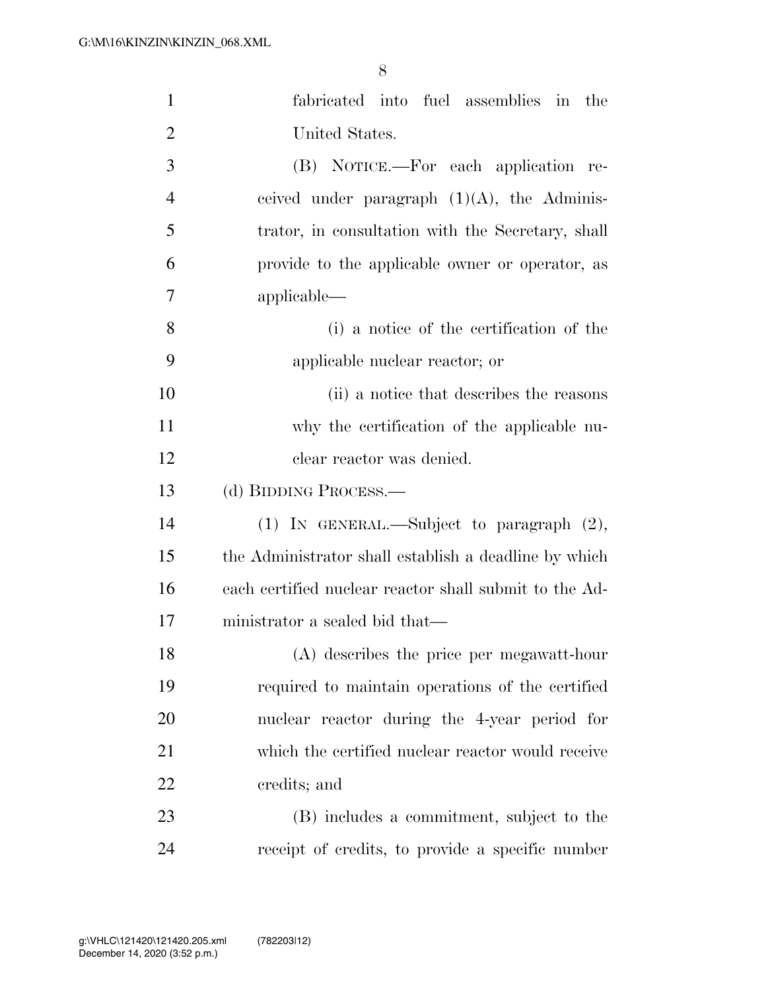| $\mathbf{1}$   | fabricated into fuel assemblies in the                 |
|----------------|--------------------------------------------------------|
| $\overline{2}$ | United States.                                         |
| 3              | (B) NOTICE.—For each application re-                   |
| $\overline{4}$ | ceived under paragraph $(1)(A)$ , the Adminis-         |
| 5              | trator, in consultation with the Secretary, shall      |
| 6              | provide to the applicable owner or operator, as        |
| 7              | applicable—                                            |
| 8              | (i) a notice of the certification of the               |
| 9              | applicable nuclear reactor; or                         |
| 10             | (ii) a notice that describes the reasons               |
| 11             | why the certification of the applicable nu-            |
| 12             | clear reactor was denied.                              |
| 13             | (d) BIDDING PROCESS.—                                  |
| 14             | (1) IN GENERAL.—Subject to paragraph $(2)$ ,           |
| 15             | the Administrator shall establish a deadline by which  |
| 16             | each certified nuclear reactor shall submit to the Ad- |
| 17             | ministrator a sealed bid that—                         |
| 18             | (A) describes the price per megawatt-hour              |
| 19             | required to maintain operations of the certified       |
| 20             | nuclear reactor during the 4-year period for           |
| 21             | which the certified nuclear reactor would receive      |
| 22             | credits; and                                           |
| 23             | (B) includes a commitment, subject to the              |
| 24             | receipt of credits, to provide a specific number       |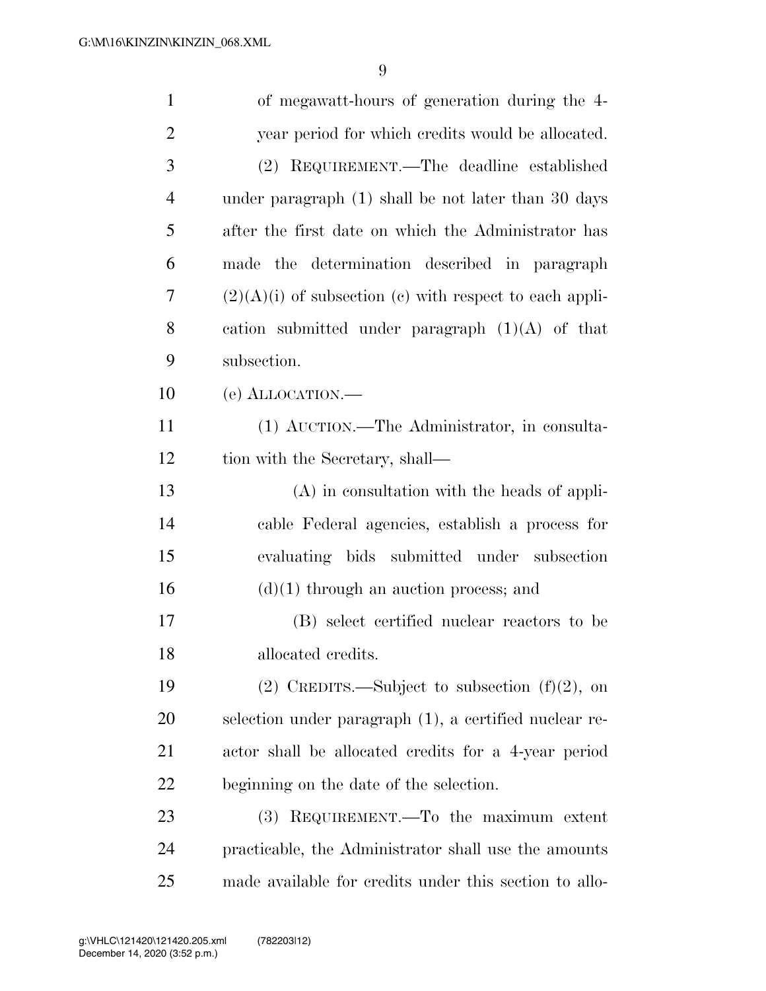| $\mathbf{1}$   | of megawatt-hours of generation during the 4-             |
|----------------|-----------------------------------------------------------|
| $\overline{2}$ | year period for which credits would be allocated.         |
| 3              | (2) REQUIREMENT.—The deadline established                 |
| $\overline{4}$ | under paragraph (1) shall be not later than 30 days       |
| 5              | after the first date on which the Administrator has       |
| 6              | made the determination described in paragraph             |
| 7              | $(2)(A)(i)$ of subsection (c) with respect to each appli- |
| 8              | cation submitted under paragraph $(1)(A)$ of that         |
| 9              | subsection.                                               |
| 10             | (e) ALLOCATION.—                                          |
| 11             | (1) AUCTION.—The Administrator, in consulta-              |
| 12             | tion with the Secretary, shall—                           |
| 13             | $(A)$ in consultation with the heads of appli-            |
| 14             | cable Federal agencies, establish a process for           |
| 15             | evaluating bids submitted under subsection                |
| 16             | $(d)(1)$ through an auction process; and                  |
| 17             | (B) select certified nuclear reactors to be               |
| 18             | allocated credits.                                        |
| 19             | (2) CREDITS.—Subject to subsection $(f)(2)$ , on          |
| <b>20</b>      | selection under paragraph (1), a certified nuclear re-    |
| 21             | actor shall be allocated credits for a 4-year period      |
| 22             | beginning on the date of the selection.                   |
| 23             | (3) REQUIREMENT.—To the maximum extent                    |
| 24             | practicable, the Administrator shall use the amounts      |
| 25             | made available for credits under this section to allo-    |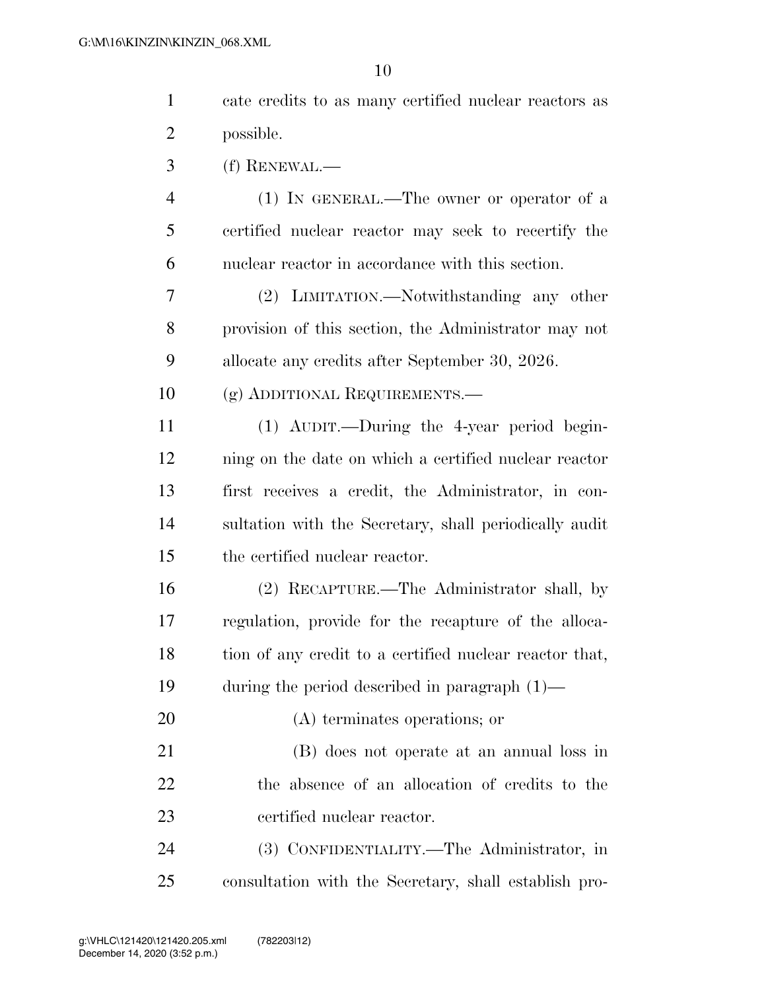|                | cate credits to as many certified nuclear reactors as |
|----------------|-------------------------------------------------------|
| $\overline{2}$ | possible.                                             |
| $\overline{3}$ | (f) RENEWAL.—                                         |
|                | $(1)$ IN GENERAL.—The owner or operator of a          |
|                | cortified nuclear reactor may seek to receptify the   |

 certified nuclear reactor may seek to recertify the nuclear reactor in accordance with this section.

 (2) LIMITATION.—Notwithstanding any other provision of this section, the Administrator may not allocate any credits after September 30, 2026.

(g) ADDITIONAL REQUIREMENTS.—

 (1) AUDIT.—During the 4-year period begin- ning on the date on which a certified nuclear reactor first receives a credit, the Administrator, in con- sultation with the Secretary, shall periodically audit the certified nuclear reactor.

 (2) RECAPTURE.—The Administrator shall, by regulation, provide for the recapture of the alloca- tion of any credit to a certified nuclear reactor that, during the period described in paragraph (1)—

 (A) terminates operations; or (B) does not operate at an annual loss in the absence of an allocation of credits to the

 (3) CONFIDENTIALITY.—The Administrator, in consultation with the Secretary, shall establish pro-

certified nuclear reactor.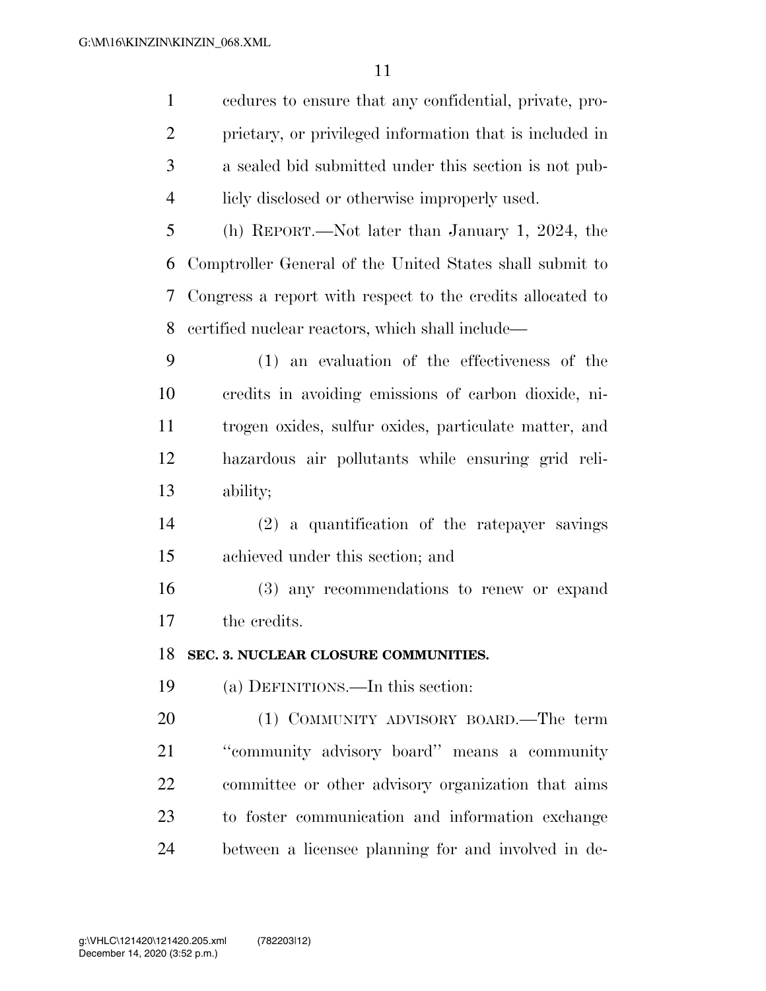| $\mathbf{1}$   | edures to ensure that any confidential, private, pro-      |
|----------------|------------------------------------------------------------|
| $\overline{2}$ | prietary, or privileged information that is included in    |
| 3              | a sealed bid submitted under this section is not pub-      |
| $\overline{4}$ | licly disclosed or otherwise improperly used.              |
| 5              | (h) REPORT.—Not later than January 1, 2024, the            |
| 6              | Comptroller General of the United States shall submit to   |
| 7              | Congress a report with respect to the credits allocated to |
| 8              | certified nuclear reactors, which shall include—           |
| 9              | (1) an evaluation of the effectiveness of the              |
| 10             | credits in avoiding emissions of carbon dioxide, ni-       |
| 11             | trogen oxides, sulfur oxides, particulate matter, and      |
| 12             | hazardous air pollutants while ensuring grid reli-         |
| 13             | ability;                                                   |
| 14             | $(2)$ a quantification of the rate payer savings           |
| 15             | achieved under this section; and                           |
| 16             | (3) any recommendations to renew or expand                 |
| 17             | the credits.                                               |
| 18             | SEC. 3. NUCLEAR CLOSURE COMMUNITIES.                       |
| 19             | (a) DEFINITIONS.—In this section:                          |
| 20             | (1) COMMUNITY ADVISORY BOARD.—The term                     |
| 21             | "community advisory board" means a community               |
| 22             | committee or other advisory organization that aims         |
| 23             | to foster communication and information exchange           |
| 24             | between a licensee planning for and involved in de-        |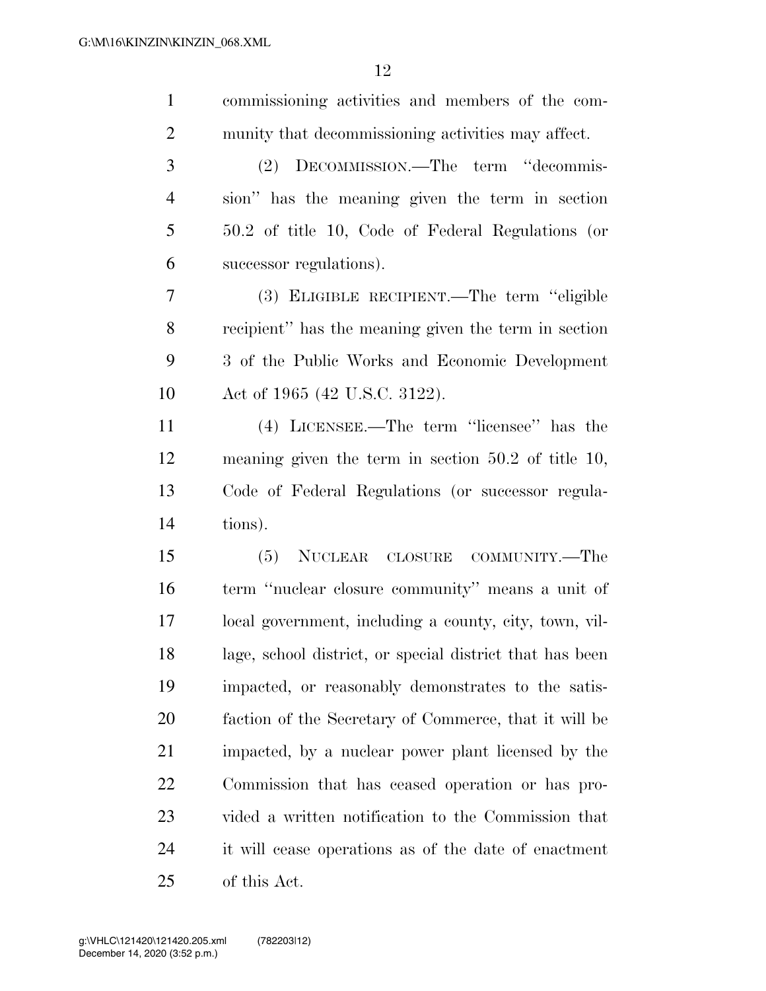| $\mathbf{1}$   | commissioning activities and members of the com-         |
|----------------|----------------------------------------------------------|
| $\overline{2}$ | munity that decommissioning activities may affect.       |
| 3              | (2) DECOMMISSION.—The term "decommis-                    |
| $\overline{4}$ | sion" has the meaning given the term in section          |
| 5              | 50.2 of title 10, Code of Federal Regulations (or        |
| 6              | successor regulations).                                  |
| $\overline{7}$ | (3) ELIGIBLE RECIPIENT.—The term "eligible               |
| 8              | recipient" has the meaning given the term in section     |
| 9              | 3 of the Public Works and Economic Development           |
| 10             | Act of 1965 (42 U.S.C. 3122).                            |
| 11             | (4) LICENSEE.—The term "licensee" has the                |
| 12             | meaning given the term in section $50.2$ of title 10,    |
| 13             | Code of Federal Regulations (or successor regula-        |
| 14             | tions).                                                  |
| 15             | (5) NUCLEAR CLOSURE COMMUNITY.—The                       |
| 16             | term "nuclear closure community" means a unit of         |
| 17             | local government, including a county, city, town, vil-   |
| 18             | lage, school district, or special district that has been |
| 19             | impacted, or reasonably demonstrates to the satis-       |
| 20             | faction of the Secretary of Commerce, that it will be    |
| 21             | impacted, by a nuclear power plant licensed by the       |
| 22             | Commission that has ceased operation or has pro-         |
| 23             | vided a written notification to the Commission that      |
| 24             | it will cease operations as of the date of enactment     |
| 25             | of this Act.                                             |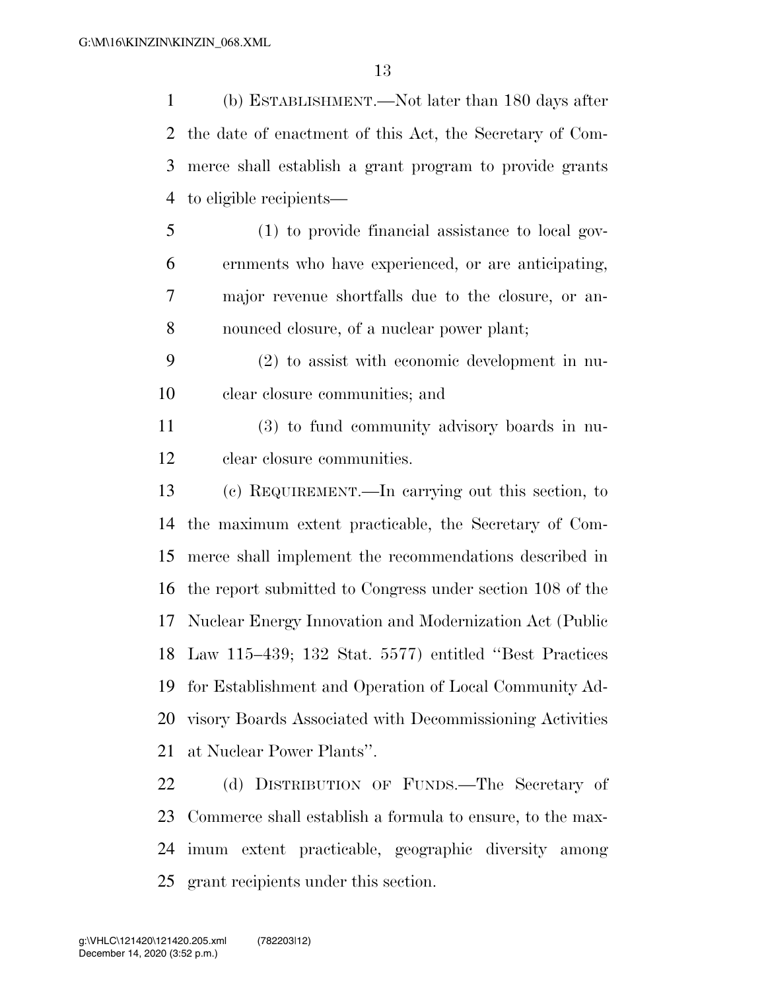(b) ESTABLISHMENT.—Not later than 180 days after the date of enactment of this Act, the Secretary of Com- merce shall establish a grant program to provide grants to eligible recipients—

 (1) to provide financial assistance to local gov- ernments who have experienced, or are anticipating, major revenue shortfalls due to the closure, or an-nounced closure, of a nuclear power plant;

 (2) to assist with economic development in nu-clear closure communities; and

 (3) to fund community advisory boards in nu-clear closure communities.

 (c) REQUIREMENT.—In carrying out this section, to the maximum extent practicable, the Secretary of Com- merce shall implement the recommendations described in the report submitted to Congress under section 108 of the Nuclear Energy Innovation and Modernization Act (Public Law 115–439; 132 Stat. 5577) entitled ''Best Practices for Establishment and Operation of Local Community Ad- visory Boards Associated with Decommissioning Activities at Nuclear Power Plants''.

 (d) DISTRIBUTION OF FUNDS.—The Secretary of Commerce shall establish a formula to ensure, to the max- imum extent practicable, geographic diversity among grant recipients under this section.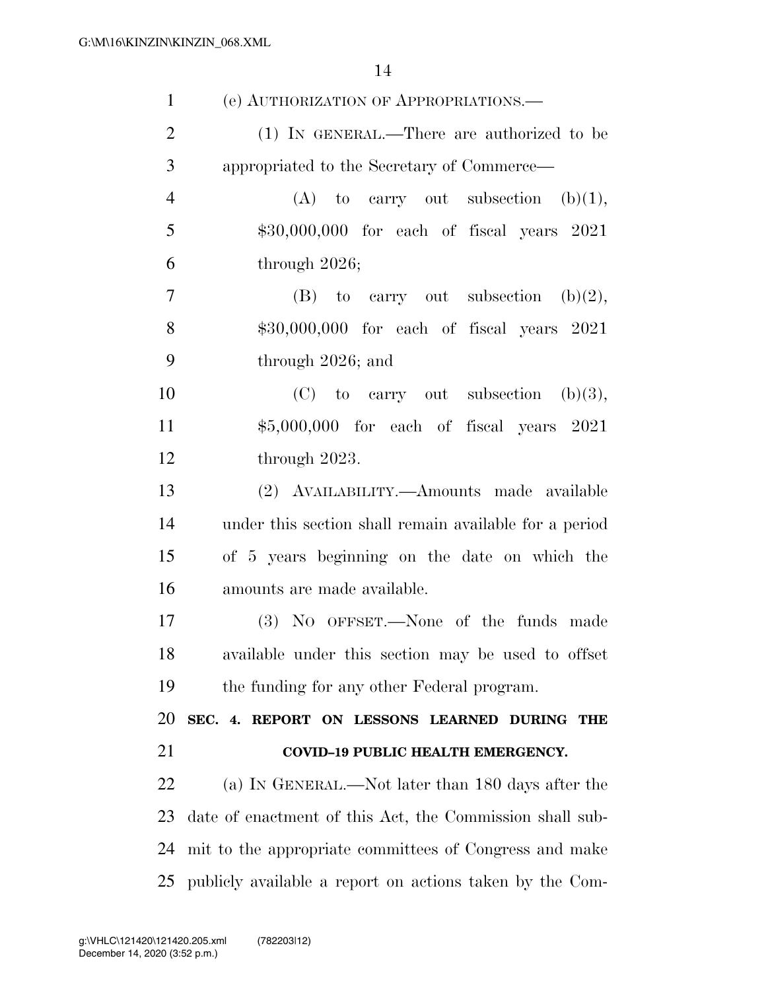| $\mathbf{1}$   | (e) AUTHORIZATION OF APPROPRIATIONS.                        |
|----------------|-------------------------------------------------------------|
| $\overline{2}$ | (1) IN GENERAL.—There are authorized to be                  |
| 3              | appropriated to the Secretary of Commerce—                  |
| $\overline{4}$ | $(A)$ to carry out subsection $(b)(1)$ ,                    |
| 5              | $$30,000,000$ for each of fiscal years $2021$               |
| 6              | through $2026$ ;                                            |
| $\overline{7}$ | $(B)$ to carry out subsection $(b)(2)$ ,                    |
| 8              | $$30,000,000$ for each of fiscal years $2021$               |
| 9              | through $2026$ ; and                                        |
| 10             | $(C)$ to carry out subsection $(b)(3)$ ,                    |
| 11             | $$5,000,000$ for each of fiscal years $2021$                |
| 12             | through 2023.                                               |
| 13             | (2) AVAILABILITY.—Amounts made available                    |
| 14             | under this section shall remain available for a period      |
| 15             | of 5 years beginning on the date on which the               |
| 16             | amounts are made available.                                 |
| 17             | (3) No OFFSET.—None of the funds made                       |
| 18             | available under this section may be used to offset          |
| 19             | the funding for any other Federal program.                  |
| 20             | SEC. 4. REPORT ON LESSONS LEARNED DURING THE                |
| 21             | COVID-19 PUBLIC HEALTH EMERGENCY.                           |
| 22             | (a) IN GENERAL.—Not later than 180 days after the           |
| 23             | date of enactment of this Act, the Commission shall sub-    |
| 24             | mit to the appropriate committees of Congress and make      |
|                | 25 publicly available a report on actions taken by the Com- |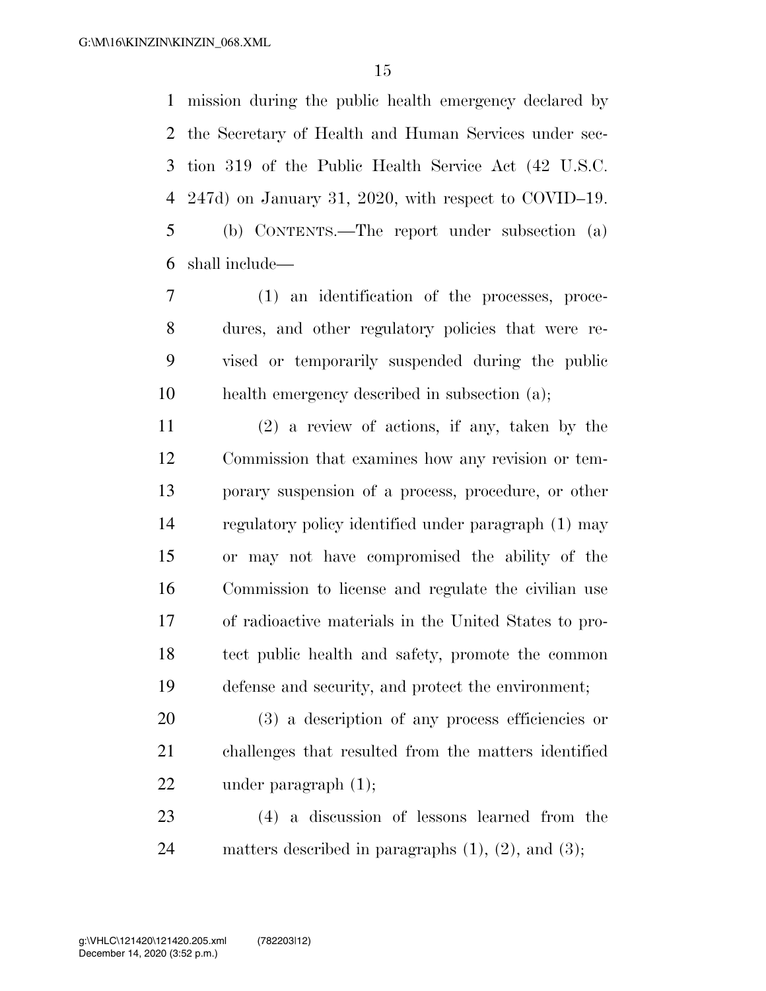mission during the public health emergency declared by the Secretary of Health and Human Services under sec- tion 319 of the Public Health Service Act (42 U.S.C. 247d) on January 31, 2020, with respect to COVID–19. (b) CONTENTS.—The report under subsection (a) shall include—

 (1) an identification of the processes, proce- dures, and other regulatory policies that were re- vised or temporarily suspended during the public health emergency described in subsection (a);

 (2) a review of actions, if any, taken by the Commission that examines how any revision or tem- porary suspension of a process, procedure, or other regulatory policy identified under paragraph (1) may or may not have compromised the ability of the Commission to license and regulate the civilian use of radioactive materials in the United States to pro- tect public health and safety, promote the common defense and security, and protect the environment;

 (3) a description of any process efficiencies or challenges that resulted from the matters identified 22 under paragraph  $(1)$ ;

 (4) a discussion of lessons learned from the 24 matters described in paragraphs  $(1)$ ,  $(2)$ , and  $(3)$ ;